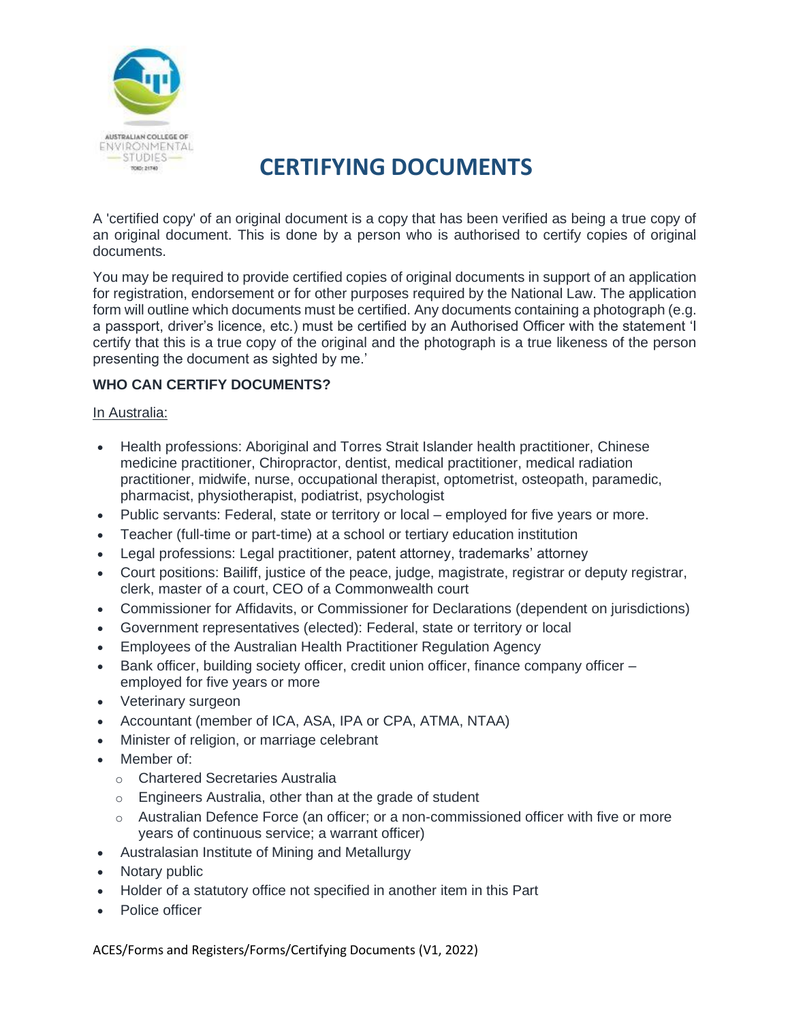

## **CERTIFYING DOCUMENTS**

A 'certified copy' of an original document is a copy that has been verified as being a true copy of an original document. This is done by a person who is authorised to certify copies of original documents.

You may be required to provide certified copies of original documents in support of an application for registration, endorsement or for other purposes required by the National Law. The application form will outline which documents must be certified. Any documents containing a photograph (e.g. a passport, driver's licence, etc.) must be certified by an Authorised Officer with the statement 'I certify that this is a true copy of the original and the photograph is a true likeness of the person presenting the document as sighted by me.'

### **WHO CAN CERTIFY DOCUMENTS?**

#### In Australia:

- Health professions: Aboriginal and Torres Strait Islander health practitioner, Chinese medicine practitioner, Chiropractor, dentist, medical practitioner, medical radiation practitioner, midwife, nurse, occupational therapist, optometrist, osteopath, paramedic, pharmacist, physiotherapist, podiatrist, psychologist
- Public servants: Federal, state or territory or local employed for five years or more.
- Teacher (full-time or part-time) at a school or tertiary education institution
- Legal professions: Legal practitioner, patent attorney, trademarks' attorney
- Court positions: Bailiff, justice of the peace, judge, magistrate, registrar or deputy registrar, clerk, master of a court, CEO of a Commonwealth court
- Commissioner for Affidavits, or Commissioner for Declarations (dependent on jurisdictions)
- Government representatives (elected): Federal, state or territory or local
- Employees of the Australian Health Practitioner Regulation Agency
- Bank officer, building society officer, credit union officer, finance company officer employed for five years or more
- Veterinary surgeon
- Accountant (member of ICA, ASA, IPA or CPA, ATMA, NTAA)
- Minister of religion, or marriage celebrant
- Member of:
	- o Chartered Secretaries Australia
	- o Engineers Australia, other than at the grade of student
	- $\circ$  Australian Defence Force (an officer; or a non-commissioned officer with five or more years of continuous service; a warrant officer)
- Australasian Institute of Mining and Metallurgy
- Notary public
- Holder of a statutory office not specified in another item in this Part
- Police officer

ACES/Forms and Registers/Forms/Certifying Documents (V1, 2022)